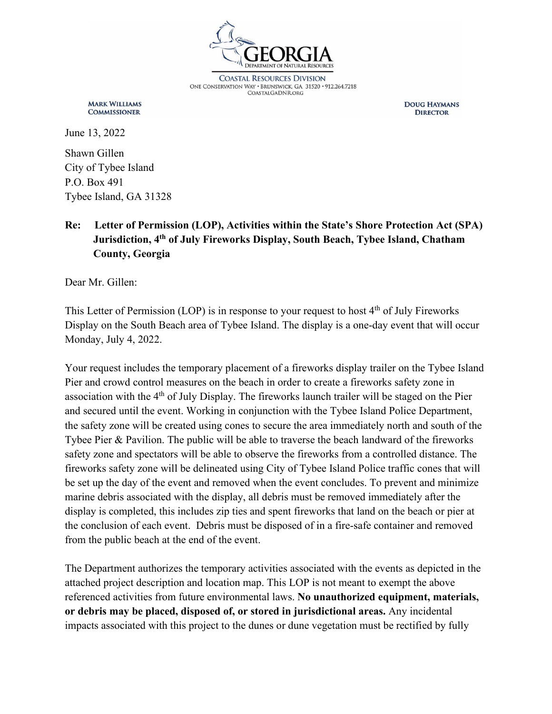

**COASTAL RESOURCES DIVISION** ONE CONSERVATION WAY · BRUNSWICK, GA 31520 · 912.264.7218 **COASTALGADNR.ORG** 

**MARK WILLIAMS COMMISSIONER** 

**DOUG HAYMANS DIRECTOR** 

June 13, 2022

Shawn Gillen City of Tybee Island P.O. Box 491 Tybee Island, GA 31328

## **Re: Letter of Permission (LOP), Activities within the State's Shore Protection Act (SPA) Jurisdiction, 4th of July Fireworks Display, South Beach, Tybee Island, Chatham County, Georgia**

Dear Mr. Gillen:

This Letter of Permission (LOP) is in response to your request to host  $4<sup>th</sup>$  of July Fireworks Display on the South Beach area of Tybee Island. The display is a one-day event that will occur Monday, July 4, 2022.

Your request includes the temporary placement of a fireworks display trailer on the Tybee Island Pier and crowd control measures on the beach in order to create a fireworks safety zone in association with the 4<sup>th</sup> of July Display. The fireworks launch trailer will be staged on the Pier and secured until the event. Working in conjunction with the Tybee Island Police Department, the safety zone will be created using cones to secure the area immediately north and south of the Tybee Pier & Pavilion. The public will be able to traverse the beach landward of the fireworks safety zone and spectators will be able to observe the fireworks from a controlled distance. The fireworks safety zone will be delineated using City of Tybee Island Police traffic cones that will be set up the day of the event and removed when the event concludes. To prevent and minimize marine debris associated with the display, all debris must be removed immediately after the display is completed, this includes zip ties and spent fireworks that land on the beach or pier at the conclusion of each event. Debris must be disposed of in a fire-safe container and removed from the public beach at the end of the event.

The Department authorizes the temporary activities associated with the events as depicted in the attached project description and location map. This LOP is not meant to exempt the above referenced activities from future environmental laws. **No unauthorized equipment, materials, or debris may be placed, disposed of, or stored in jurisdictional areas.** Any incidental impacts associated with this project to the dunes or dune vegetation must be rectified by fully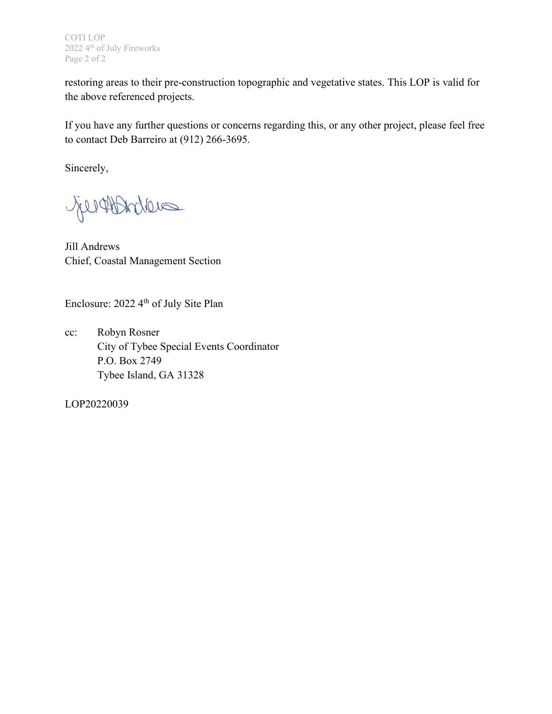COTI LOP 2022 4<sup>th</sup> of July Fireworks Page 2 of 2

restoring areas to their pre-construction topographic and vegetative states. This LOP is valid for the above referenced projects.

If you have any further questions or concerns regarding this, or any other project, please feel free to contact Deb Barreiro at (912) 266-3695.

Sincerely,

Geraldries

Jill Andrews Chief, Coastal Management Section

Enclosure: 2022 4th of July Site Plan

cc: Robyn Rosner City of Tybee Special Events Coordinator P.O. Box 2749 Tybee Island, GA 31328

LOP20220039